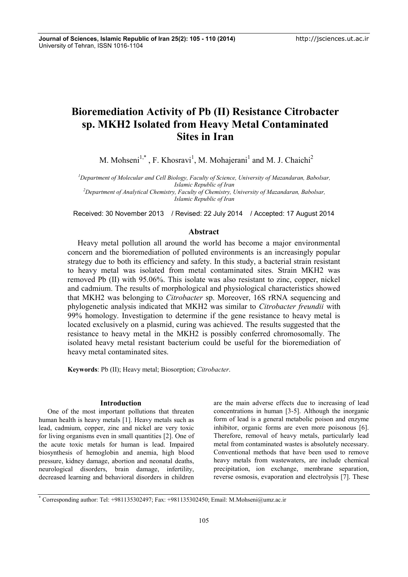# **Bioremediation Activity of Pb (II) Resistance Citrobacter sp. MKH2 Isolated from Heavy Metal Contaminated Sites in Iran**

M. Mohseni<sup>1,\*</sup>, F. Khosravi<sup>1</sup>, M. Mohajerani<sup>1</sup> and M. J. Chaichi<sup>2</sup>

*<sup>1</sup>Department of Molecular and Cell Biology, Faculty of Science, University of Mazandaran, Babolsar, Islamic Republic of Iran <sup>2</sup>Department of Analytical Chemistry, Faculty of Chemistry, University of Mazandaran, Babolsar,*

*Islamic Republic of Iran*

Received: 30 November 2013 / Revised: 22 July 2014 / Accepted: 17 August 2014

# **Abstract**

Heavy metal pollution all around the world has become a major environmental concern and the bioremediation of polluted environments is an increasingly popular strategy due to both its efficiency and safety. In this study, a bacterial strain resistant to heavy metal was isolated from metal contaminated sites. Strain MKH2 was removed Pb (II) with 95.06%. This isolate was also resistant to zinc, copper, nickel and cadmium. The results of morphological and physiological characteristics showed that MKH2 was belonging to *Citrobacter* sp. Moreover, 16S rRNA sequencing and phylogenetic analysis indicated that MKH2 was similar to *Citrobacter freundii* with 99% homology. Investigation to determine if the gene resistance to heavy metal is located exclusively on a plasmid, curing was achieved. The results suggested that the resistance to heavy metal in the MKH2 is possibly conferred chromosomally. The isolated heavy metal resistant bacterium could be useful for the bioremediation of heavy metal contaminated sites.

**Keywords**: Pb (II); Heavy metal; Biosorption; *Citrobacter*.

# **Introduction**

One of the most important pollutions that threaten human health is heavy metals [1]. Heavy metals such as lead, cadmium, copper, zinc and nickel are very toxic for living organisms even in small quantities [2]. One of the acute toxic metals for human is lead. Impaired biosynthesis of hemoglobin and anemia, high blood pressure, kidney damage, abortion and neonatal deaths, neurological disorders, brain damage, infertility, decreased learning and behavioral disorders in children

are the main adverse effects due to increasing of lead concentrations in human [3-5]. Although the inorganic form of lead is a general metabolic poison and enzyme inhibitor, organic forms are even more poisonous [6]. Therefore, removal of heavy metals, particularly lead metal from contaminated wastes is absolutely necessary. Conventional methods that have been used to remove heavy metals from wastewaters, are include chemical precipitation, ion exchange, membrane separation, reverse osmosis, evaporation and electrolysis [7]. These

\* Corresponding author: Tel: +981135302497; Fax: +981135302450; Email: M.Mohseni@umz.ac.ir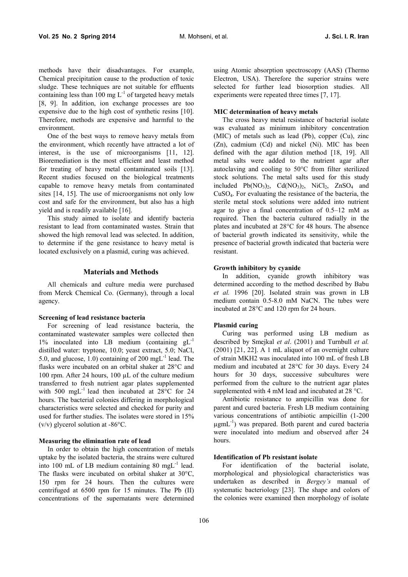methods have their disadvantages. For example, Chemical precipitation cause to the production of toxic sludge. These techniques are not suitable for effluents containing less than  $100 \text{ mg } L^{-1}$  of targeted heavy metals [8, 9]. In addition, ion exchange processes are too expensive due to the high cost of synthetic resins [10]. Therefore, methods are expensive and harmful to the environment.

One of the best ways to remove heavy metals from the environment, which recently have attracted a lot of interest, is the use of microorganisms [11, 12]. Bioremediation is the most efficient and least method for treating of heavy metal contaminated soils [13]. Recent studies focused on the biological treatments capable to remove heavy metals from contaminated sites [14, 15]. The use of microorganisms not only low cost and safe for the environment, but also has a high yield and is readily available [16].

This study aimed to isolate and identify bacteria resistant to lead from contaminated wastes. Strain that showed the high removal lead was selected. In addition, to determine if the gene resistance to heavy metal is located exclusively on a plasmid, curing was achieved.

#### **Materials and Methods**

All chemicals and culture media were purchased from Merck Chemical Co. (Germany), through a local agency.

## **Screening of lead resistance bacteria**

For screening of lead resistance bacteria, the contaminated wastewater samples were collected then 1% inoculated into LB medium (containing gL-1 distilled water: tryptone, 10.0; yeast extract, 5.0; NaCl, 5.0, and glucose, 1.0) containing of 200 mg $L^{-1}$  lead. The c flasks were incubated on an orbital shaker at 28°C and 100 rpm. After 24 hours, 100 µL of the culture medium transferred to fresh nutrient agar plates supplemented with 500 mgL<sup>-1</sup> lead then incubated at 28°C for 24 su hours. The bacterial colonies differing in morphological characteristics were selected and checked for purity and used for further studies. The isolates were stored in 15%  $(v/v)$  glycerol solution at -86 $\degree$ C.

# **Measuring the elimination rate of lead**

In order to obtain the high concentration of metals uptake by the isolated bacteria, the strains were cultured into 100 mL of LB medium containing 80 mgL<sup>-1</sup> lead. The flasks were incubated on orbital shaker at 30°C, 150 rpm for 24 hours. Then the cultures were centrifuged at 6500 rpm for 15 minutes. The Pb (II) concentrations of the supernatants were determined

using Atomic absorption spectroscopy (AAS) (Thermo Electron, USA). Therefore the superior strains were selected for further lead biosorption studies. All experiments were repeated three times [7, 17].

### **MIC determination of heavy metals**

The cross heavy metal resistance of bacterial isolate was evaluated as minimum inhibitory concentration (MIC) of metals such as lead (Pb), copper (Cu), zinc (Zn), cadmium (Cd) and nickel (Ni). MIC has been defined with the agar dilution method [18, 19]. All metal salts were added to the nutrient agar after autoclaving and cooling to 50°C from filter sterilized stock solutions. The metal salts used for this study included  $Pb(NO<sub>3</sub>)<sub>2</sub>$ ,  $Cd(NO<sub>3</sub>)<sub>2</sub>$ ,  $NiCl<sub>2</sub>$ ,  $ZnSO<sub>4</sub>$  and CuSO4. For evaluating the resistance of the bacteria, the sterile metal stock solutions were added into nutrient agar to give a final concentration of 0.5–12 mM as required. Then the bacteria cultured radially in the plates and incubated at 28°C for 48 hours. The absence of bacterial growth indicated its sensitivity, while the presence of bacterial growth indicated that bacteria were resistant.

## **Growth inhibitory by cyanide**

In addition, cyanide growth inhibitory was determined according to the method described by Babu *et al.* 1996 [20]. Isolated strain was grown in LB medium contain 0.5-8.0 mM NaCN. The tubes were incubated at 28°C and 120 rpm for 24 hours.

### **Plasmid curing**

Curing was performed using LB medium as described by Smejkal *et al*. (2001) and Turnbull *et al.* (2001) [21, 22]. A 1 mL aliquot of an overnight culture of strain MKH2 was inoculated into 100 mL of fresh LB medium and incubated at 28°C for 30 days. Every 24 hours for 30 days, successive subcultures were performed from the culture to the nutrient agar plates supplemented with 4 mM lead and incubated at 28 °C.

Antibiotic resistance to ampicillin was done for parent and cured bacteria. Fresh LB medium containing various concentrations of antibiotic ampicillin (1-200  $\mu$ gmL<sup>-1</sup>) was prepared. Both parent and cured bacteria were inoculated into medium and observed after 24 hours.

### **Identification of Pb resistant isolate**

For identification of the bacterial isolate, morphological and physiological characteristics was undertaken as described in *Bergey's* manual of systematic bacteriology [23]. The shape and colors of the colonies were examined then morphology of isolate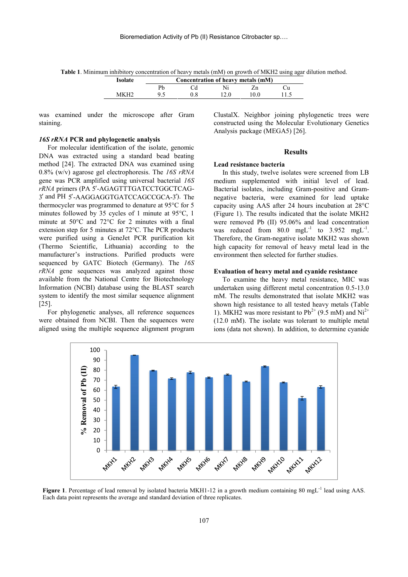**Table 1**. Minimum inhibitory concentration of heavy metals (mM) on growth of MKH2 using agar dilution method.

| Isolate | Concentration of heavy metals (mM) |  |  |                   |  |
|---------|------------------------------------|--|--|-------------------|--|
|         |                                    |  |  |                   |  |
|         |                                    |  |  | $^{\prime\prime}$ |  |

was examined under the microscope after Gram staining.

### *16S rRNA* **PCR and phylogenetic analysis**

For molecular identification of the isolate, genomic DNA was extracted using a standard bead beating method [24]. The extracted DNA was examined using 0.8% (w/v) agarose gel electrophoresis. The *16S rRNA* gene was PCR amplified using universal bacterial *16S rRNA* primers (PA 5′-AGAGTTTGATCCTGGCTCAG- 3′ and PH 5′-AAGGAGGTGATCCAGCCGCA-3′). The thermocycler was programmed to denature at 95°C for 5 minutes followed by 35 cycles of 1 minute at 95°C, 1 minute at 50°C and 72°C for 2 minutes with a final extension step for 5 minutes at 72°C. The PCR products were purified using a GeneJet PCR purification kit (Thermo Scientific, Lithuania) according to the manufacturer's instructions. Purified products were sequenced by GATC Biotech (Germany). The *16S rRNA* gene sequences was analyzed against those available from the National Centre for Biotechnology Information (NCBI) database using the BLAST search system to identify the most similar sequence alignment [25].

For phylogenetic analyses, all reference sequences were obtained from NCBI. Then the sequences were aligned using the multiple sequence alignment program

ClustalX. Neighbor joining phylogenetic trees were constructed using the Molecular Evolutionary Genetics Analysis package (MEGA5) [26].

#### **Results**

### **Lead resistance bacteria**

In this study, twelve isolates were screened from LB medium supplemented with initial level of lead. Bacterial isolates, including Gram-positive and Gram negative bacteria, were examined for lead uptake capacity using AAS after 24 hours incubation at 28°C (Figure 1). The results indicated that the isolate MKH2 were removed Pb (II) 95.06% and lead concentration was reduced from  $80.0 \text{ mgL}^{-1}$  to  $3.952 \text{ mgL}^{-1}$ . Therefore, the Gram-negative isolate MKH2 was shown high capacity for removal of heavy metal lead in the environment then selected for further studies.

## **Evaluation of heavy metal and cyanide resistance**

To examine the heavy metal resistance, MIC was undertaken using different metal concentration 0.5-13.0 mM. The results demonstrated that isolate MKH2 was shown high resistance to all tested heavy metals (Table 1). MKH2 was more resistant to  $Pb^{2+}$  (9.5 mM) and Ni<sup>2+</sup> (12.0 mM). The isolate was tolerant to multiple metal ions (data not shown). In addition, to determine cyanide



Figure 1. Percentage of lead removal by isolated bacteria MKH1-12 in a growth medium containing 80 mgL<sup>-1</sup> lead using AAS. Each data point represents the average and standard deviation of three replicates.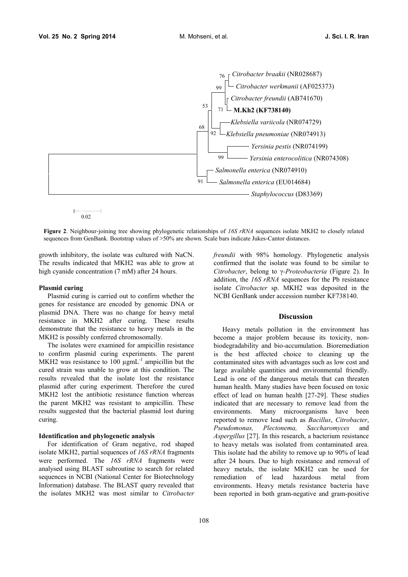

**Figure 2**. Neighbour-joining tree showing phylogenetic relationships of *16S rRNA* sequences isolate MKH2 to closely related sequences from GenBank. Bootstrap values of >50% are shown. Scale bars indicate Jukes-Cantor distances.

growth inhibitory, the isolate was cultured with NaCN. The results indicated that MKH2 was able to grow at high cyanide concentration (7 mM) after 24 hours.

### **Plasmid curing**

Plasmid curing is carried out to confirm whether the genes for resistance are encoded by genomic DNA or plasmid DNA. There was no change for heavy metal resistance in MKH2 after curing. These results demonstrate that the resistance to heavy metals in the MKH2 is possibly conferred chromosomally.

The isolates were examined for ampicillin resistance to confirm plasmid curing experiments. The parent MKH2 was resistance to  $100 \mu g m L^{-1}$  ampicillin but the cured strain was unable to grow at this condition. The results revealed that the isolate lost the resistance plasmid after curing experiment. Therefore the cured MKH2 lost the antibiotic resistance function whereas the parent MKH2 was resistant to ampicillin. These results suggested that the bacterial plasmid lost during curing.

#### **Identification and phylogenetic analysis**

For identification of Gram negative, rod shaped isolate MKH2, partial sequences of *16S rRNA* fragments were performed. The *16S rRNA* fragments were analysed using BLAST subroutine to search for related sequences in NCBI (National Center for Biotechnology Information) database. The BLAST query revealed that the isolates MKH2 was most similar to *Citrobacter*

108

*freundii* with 98% homology. Phylogenetic analysis confirmed that the isolate was found to be similar to *Citrobacter*, belong to γ*-Proteobacteria* (Figure 2). In addition, the *16S rRNA* sequences for the Pb resistance isolate *Citrobacter* sp. MKH2 was deposited in the NCBI GenBank under accession number KF738140.

### **Discussion**

Heavy metals pollution in the environment has become a major problem because its toxicity, non biodegradability and bio-accumulation. Bioremediation is the best affected choice to cleaning up the contaminated sites with advantages such as low cost and large available quantities and environmental friendly. Lead is one of the dangerous metals that can threaten human health. Many studies have been focused on toxic effect of lead on human health [27-29]. These studies indicated that are necessary to remove lead from the environments. Many microorganisms have been reported to remove lead such as *Bacillus*, *Citrobacter*, *Pseudomonas, Plectonema, Saccharomyces* and *Aspergillus* [27]. In this research, a bacterium resistance to heavy metals was isolated from contaminated area. This isolate had the ability to remove up to 90% of lead after 24 hours. Due to high resistance and removal of heavy metals, the isolate MKH2 can be used for remediation of lead hazardous metal from environments. Heavy metals resistance bacteria have been reported in both gram-negative and gram-positive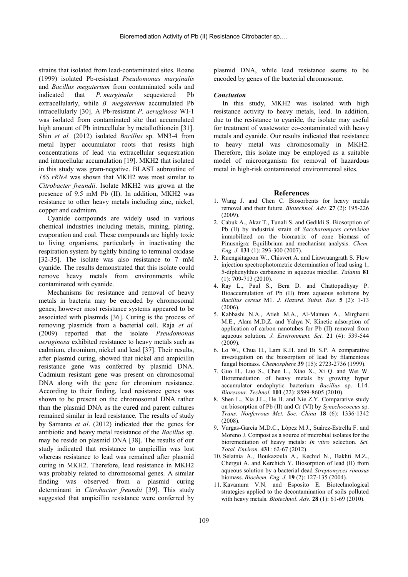strains that isolated from lead-contaminated sites. Roane (1999) isolated Pb-resistant *Pseudomonas marginalis* and *Bacillus megaterium* from contaminated soils and indicated that *P. marginalis* sequestered Pb extracellularly, while *B. megaterium* accumulated Pb intracellularly [30]. A Pb-resistant *P. aeruginosa* WI-1 was isolated from contaminated site that accumulated high amount of Pb intracellular by metallothionein [31]. Shin *et al.* (2012) isolated *Bacillus* sp. MN3-4 from metal hyper accumulator roots that resists high concentrations of lead via extracellular sequestration and intracellular accumulation [19]. MKH2 that isolated in this study was gram-negative. BLAST subroutine of *16S rRNA* was shown that MKH2 was most similar to *Citrobacter freundii*. Isolate MKH2 was grown at the presence of 9.5 mM Pb (II). In addition, MKH2 was resistance to other heavy metals including zinc, nickel, copper and cadmium.

Cyanide compounds are widely used in various chemical industries including metals, mining, plating, evaporation and coal. These compounds are highly toxic to living organisms, particularly in inactivating the respiration system by tightly binding to terminal oxidase [32-35]. The isolate was also resistance to 7 mM cyanide. The results demonstrated that this isolate could remove heavy metals from environments while contaminated with cyanide.

Mechanisms for resistance and removal of heavy metals in bacteria may be encoded by chromosomal genes; however most resistance systems appeared to be associated with plasmids [36]. Curing is the process of removing plasmids from a bacterial cell. Raja *et al.* (2009) reported that the isolate *Pseudomonas aeruginosa* exhibited resistance to heavy metals such as cadmium, chromium, nickel and lead [37]. Their results, after plasmid curing, showed that nickel and ampicillin resistance gene was conferred by plasmid DNA. Cadmium resistant gene was present on chromosomal DNA along with the gene for chromium resistance. According to their finding, lead resistance genes was shown to be present on the chromosomal DNA rather than the plasmid DNA as the cured and parent cultures remained similar in lead resistance. The results of study by Samanta *et al*. (2012) indicated that the genes for antibiotic and heavy metal resistance of the *Bacillus* sp. may be reside on plasmid DNA [38]. The results of our study indicated that resistance to ampicillin was lost whereas resistance to lead was remained after plasmid curing in MKH2. Therefore, lead resistance in MKH2 was probably related to chromosomal genes. A similar finding was observed from a plasmid curing determinant in *Citrobacter freundii* [39]. This study suggested that ampicillin resistance were conferred by

plasmid DNA, while lead resistance seems to be encoded by genes of the bacterial chromosome.

#### *Conclusion*

In this study, MKH2 was isolated with high resistance activity to heavy metals, lead. In addition, due to the resistance to cyanide, the isolate may useful for treatment of wastewater co-contaminated with heavy metals and cyanide. Our results indicated that resistance to heavy metal was chromosomally in MKH2. Therefore, this isolate may be employed as a suitable model of microorganism for removal of hazardous metal in high-risk contaminated environmental sites.

#### **References**

- 1. Wang J. and Chen C. Biosorbents for heavy metals removal and their future. *Biotechnol. Adv.* **27** (2): 195-226 (2009).
- 2. Cabuk A., Akar T., Tunali S. and Gedikli S. Biosorption of Pb (II) by industrial strain of *Saccharomyces cerevisiae* immobilized on the biomatrix of cone biomass of Pinusnigra: Equilibrium and mechanism analysis. *Chem. Eng. J.* **131** (1): 293-300 (2007).
- 3. Ruengsitagoon W., Chisvert A. and Liawruangrath S. Flow injection spectrophotometric determination of lead using 1, 5-diphenylthio carbazone in aqueous micellar. *Talanta* **81** (1): 709-713 (2010).
- 4. Ray L., Paul S., Bera D. and Chattopadhyay P. Bioaccumulation of Pb (II) from aqueous solutions by *Bacillus cereus* M1. *J. Hazard. Subst. Res.* **5** (2): 1-13 (2006).
- 5. Kabbashi N.A., Atieh M.A., Al-Mamun A., Mirghami M.E., Alam M.D.Z. and Yahya N. Kinetic adsorption of application of carbon nanotubes for Pb (II) removal from aqueous solution. *J. Environment. Sci.* **21** (4): 539-544 (2009).
- 6. Lo W., Chua H., Lam K.H. and Bi S.P. A comparative investigation on the biosorption of lead by filamentous fungal biomass. *Chemosphere* **39** (15): 2723-2736 (1999).
- 7. Guo H., Luo S., Chen L., Xiao X., Xi Q. and Wei W. Bioremediation of heavy metals by growing hyper accumulator endophytic bacterium *Bacillus* sp. L14. *Bioresour. Technol.* **101** (22): 8599-8605 (2010).
- 8. Shen L., Xia J.L., He H. and Nie Z.Y. Comparative study on biosorption of Pb (II) and Cr (VI) by *Synechococcus* sp. *Trans. Nonferrous Met. Soc. China* **18** (6): 1336-1342 (2008).
- 9. Vargas-García M.D.C., López M.J., Suárez-Estrella F. and Moreno J. Compost as a source of microbial isolates for the bioremediation of heavy metals: *In vitro* selection. *Sci. Total. Environ.* **431**: 62-67 (2012).
- 10. Selatnia A., Boukazoula A., Kechid N., Bakhti M.Z., Chergui A. and Kerchich Y. Biosorption of lead (II) from aqueous solution by a bacterial dead *Streptomyces rimosus* biomass. *Biochem. Eng. J.* **19** (2): 127-135 (2004).
- 11. Kavamura V.N. and Esposito E. Biotechnological strategies applied to the decontamination of soils polluted with heavy metals. *Biotechnol. Adv.* **28** (1): 61-69 (2010).